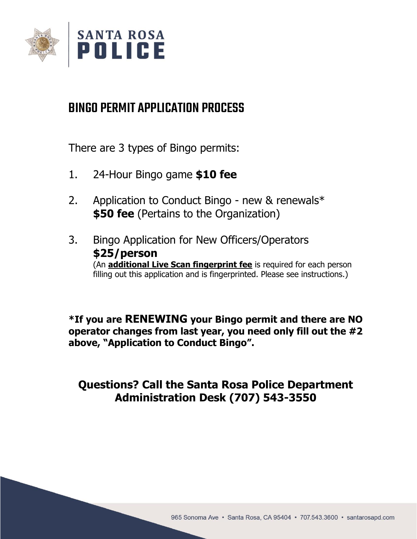

# BINGO PERMIT APPLICATION PROCESS

There are 3 types of Bingo permits:

- 1. 24-Hour Bingo game **\$10 fee**
- 2. Application to Conduct Bingo new & renewals\* **\$50 fee** (Pertains to the Organization)
- 3. Bingo Application for New Officers/Operators **\$25/person** (An **additional Live Scan fingerprint fee** is required for each person filling out this application and is fingerprinted. Please see instructions.)

**\*If you are RENEWING your Bingo permit and there are NO operator changes from last year, you need only fill out the #2 above, "Application to Conduct Bingo".**

## **Questions? Call the Santa Rosa Police Department Administration Desk (707) 543-3550**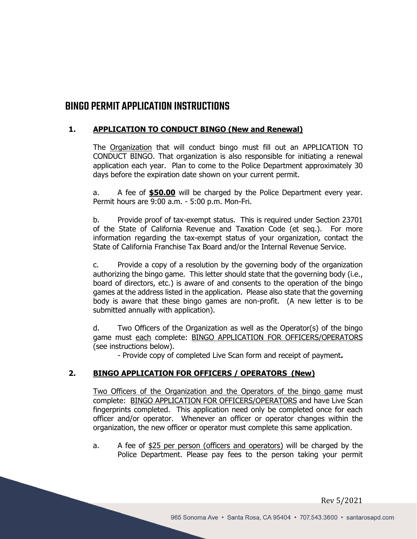## BINGO PERMIT APPLICATION INSTRUCTIONS

## **1. APPLICATION TO CONDUCT BINGO (New and Renewal)**

The Organization that will conduct bingo must fill out an APPLICATION TO CONDUCT BINGO. That organization is also responsible for initiating a renewal application each year. Plan to come to the Police Department approximately 30 days before the expiration date shown on your current permit.

a. A fee of **\$50.00** will be charged by the Police Department every year. Permit hours are 9:00 a.m. - 5:00 p.m. Mon-Fri.

b. Provide proof of tax-exempt status. This is required under Section 23701 of the State of California Revenue and Taxation Code (et seq.). For more information regarding the tax-exempt status of your organization, contact the State of California Franchise Tax Board and/or the Internal Revenue Service.

c. Provide a copy of a resolution by the governing body of the organization authorizing the bingo game. This letter should state that the governing body (i.e., board of directors, etc.) is aware of and consents to the operation of the bingo games at the address listed in the application. Please also state that the governing body is aware that these bingo games are non-profit. (A new letter is to be submitted annually with application).

d. Two Officers of the Organization as well as the Operator(s) of the bingo game must each complete: BINGO APPLICATION FOR OFFICERS/OPERATORS (see instructions below).

- Provide copy of completed Live Scan form and receipt of payment**.**

## **2. BINGO APPLICATION FOR OFFICERS / OPERATORS (New)**

Two Officers of the Organization and the Operators of the bingo game must complete: BINGO APPLICATION FOR OFFICERS/OPERATORS and have Live Scan fingerprints completed. This application need only be completed once for each officer and/or operator. Whenever an officer or operator changes within the organization, the new officer or operator must complete this same application.

a. A fee of \$25 per person (officers and operators) will be charged by the Police Department. Please pay fees to the person taking your permit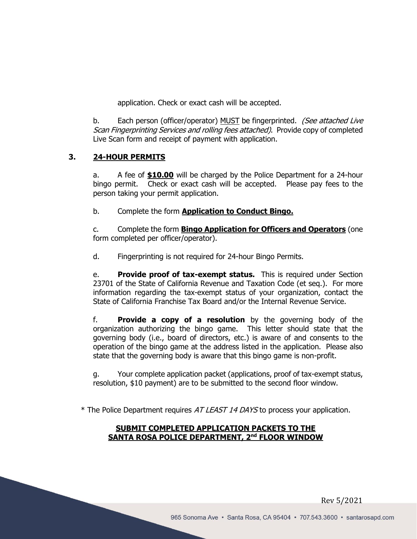application. Check or exact cash will be accepted.

b. Each person (officer/operator) MUST be fingerprinted. (See attached Live Scan Fingerprinting Services and rolling fees attached). Provide copy of completed Live Scan form and receipt of payment with application.

## **3. 24-HOUR PERMITS**

a. A fee of **\$10.00** will be charged by the Police Department for a 24-hour bingo permit. Check or exact cash will be accepted. Please pay fees to the person taking your permit application.

b. Complete the form **Application to Conduct Bingo.**

c. Complete the form **Bingo Application for Officers and Operators** (one form completed per officer/operator).

d. Fingerprinting is not required for 24-hour Bingo Permits.

e. **Provide proof of tax-exempt status.** This is required under Section 23701 of the State of California Revenue and Taxation Code (et seq.). For more information regarding the tax-exempt status of your organization, contact the State of California Franchise Tax Board and/or the Internal Revenue Service.

f. **Provide a copy of a resolution** by the governing body of the organization authorizing the bingo game. This letter should state that the governing body (i.e., board of directors, etc.) is aware of and consents to the operation of the bingo game at the address listed in the application. Please also state that the governing body is aware that this bingo game is non-profit.

g. Your complete application packet (applications, proof of tax-exempt status, resolution, \$10 payment) are to be submitted to the second floor window.

\* The Police Department requires AT LEAST 14 DAYS to process your application.

## **SUBMIT COMPLETED APPLICATION PACKETS TO THE SANTA ROSA POLICE DEPARTMENT, 2nd FLOOR WINDOW**

Rev 5/2021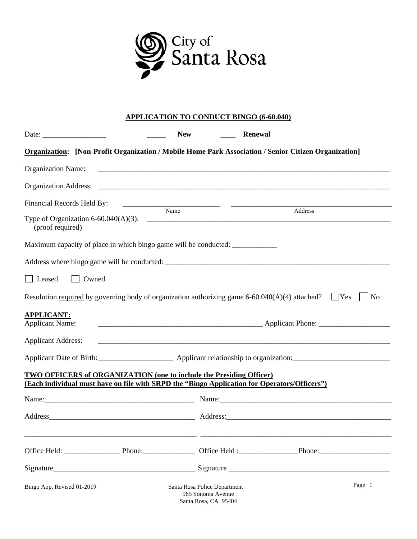

## **APPLICATION TO CONDUCT BINGO (6-60.040)**

|                                                                                                      | <b>New</b>                                                                | Renewal                                                                                                     |
|------------------------------------------------------------------------------------------------------|---------------------------------------------------------------------------|-------------------------------------------------------------------------------------------------------------|
|                                                                                                      |                                                                           | <b>Organization:</b> [Non-Profit Organization / Mobile Home Park Association / Senior Citizen Organization] |
| <b>Organization Name:</b>                                                                            |                                                                           |                                                                                                             |
|                                                                                                      |                                                                           |                                                                                                             |
| Financial Records Held By:                                                                           |                                                                           |                                                                                                             |
| (proof required)                                                                                     |                                                                           | Address                                                                                                     |
| Maximum capacity of place in which bingo game will be conducted: _______________                     |                                                                           |                                                                                                             |
|                                                                                                      |                                                                           |                                                                                                             |
| Leased<br>Owned                                                                                      |                                                                           |                                                                                                             |
| Resolution required by governing body of organization authorizing game 6-60.040(A)(4) attached? [Yes |                                                                           | No                                                                                                          |
| <b>APPLICANT:</b>                                                                                    |                                                                           |                                                                                                             |
| <b>Applicant Name:</b>                                                                               |                                                                           |                                                                                                             |
| <b>Applicant Address:</b>                                                                            |                                                                           |                                                                                                             |
|                                                                                                      |                                                                           |                                                                                                             |
| <b>TWO OFFICERS of ORGANIZATION (one to include the Presiding Officer)</b>                           |                                                                           |                                                                                                             |
| (Each individual must have on file with SRPD the "Bingo Application for Operators/Officers")         |                                                                           |                                                                                                             |
|                                                                                                      |                                                                           |                                                                                                             |
|                                                                                                      |                                                                           |                                                                                                             |
|                                                                                                      |                                                                           |                                                                                                             |
|                                                                                                      |                                                                           |                                                                                                             |
| Bingo App. Revised 01-2019                                                                           | Santa Rosa Police Department<br>965 Sonoma Avenue<br>Santa Rosa, CA 95404 | Page 1                                                                                                      |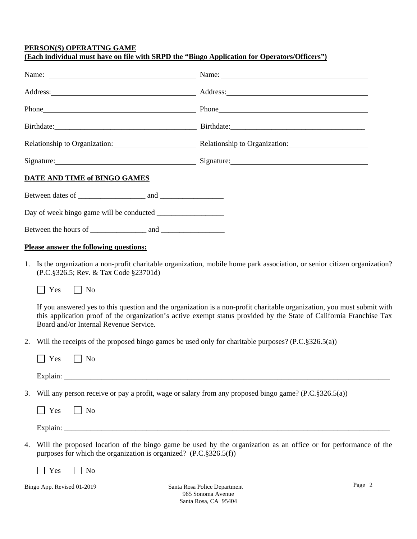#### **PERSON(S) OPERATING GAME (Each individual must have on file with SRPD the "Bingo Application for Operators/Officers")**

|                                                                         | Name: Name: Name: Name: Name: Name: Name: Name: Name: Name: Name: Name: Name: Name: Name: Name: Name: Name: Name: Name: Name: Name: Name: Name: Name: Name: Name: Name: Name: Name: Name: Name: Name: Name: Name: Name: Name:  |                                                                                                                                                                                                                                                |
|-------------------------------------------------------------------------|--------------------------------------------------------------------------------------------------------------------------------------------------------------------------------------------------------------------------------|------------------------------------------------------------------------------------------------------------------------------------------------------------------------------------------------------------------------------------------------|
|                                                                         | Address: Address: Address: Address: Address: Address: Address: Address: Address: Address: Address: Address: Address: Address: Address: Address: Address: Address: Address: Address: Address: Address: Address: Address: Addres |                                                                                                                                                                                                                                                |
|                                                                         |                                                                                                                                                                                                                                |                                                                                                                                                                                                                                                |
|                                                                         |                                                                                                                                                                                                                                |                                                                                                                                                                                                                                                |
|                                                                         | Relationship to Organization: Relationship to Organization: Relationship to Organization:                                                                                                                                      |                                                                                                                                                                                                                                                |
|                                                                         | Signature: Signature: Signature: Signature: Signature: Signature: Signature: Signature: Signature: Signature: Signature: Signature: Signature: Signature: Signature: Signature: Signature: Signature: Signature: Signature: Si |                                                                                                                                                                                                                                                |
| DATE AND TIME of BINGO GAMES                                            |                                                                                                                                                                                                                                |                                                                                                                                                                                                                                                |
|                                                                         |                                                                                                                                                                                                                                |                                                                                                                                                                                                                                                |
|                                                                         |                                                                                                                                                                                                                                |                                                                                                                                                                                                                                                |
|                                                                         |                                                                                                                                                                                                                                |                                                                                                                                                                                                                                                |
| <b>Please answer the following questions:</b>                           |                                                                                                                                                                                                                                |                                                                                                                                                                                                                                                |
| (P.C.§326.5; Rev. & Tax Code §23701d)<br>Yes<br>$\Box$ No               |                                                                                                                                                                                                                                | 1. Is the organization a non-profit charitable organization, mobile home park association, or senior citizen organization?                                                                                                                     |
| Board and/or Internal Revenue Service.                                  |                                                                                                                                                                                                                                | If you answered yes to this question and the organization is a non-profit charitable organization, you must submit with<br>this application proof of the organization's active exempt status provided by the State of California Franchise Tax |
| 2.                                                                      | Will the receipts of the proposed bingo games be used only for charitable purposes? $(P.C.\S326.5(a))$                                                                                                                         |                                                                                                                                                                                                                                                |
| Yes<br>$\vert$   No                                                     |                                                                                                                                                                                                                                |                                                                                                                                                                                                                                                |
|                                                                         |                                                                                                                                                                                                                                |                                                                                                                                                                                                                                                |
| 3.                                                                      | Will any person receive or pay a profit, wage or salary from any proposed bingo game? (P.C.§326.5(a))                                                                                                                          |                                                                                                                                                                                                                                                |
| Yes<br>$\Box$ No                                                        |                                                                                                                                                                                                                                |                                                                                                                                                                                                                                                |
|                                                                         |                                                                                                                                                                                                                                |                                                                                                                                                                                                                                                |
| 4.<br>purposes for which the organization is organized? (P.C.§326.5(f)) |                                                                                                                                                                                                                                | Will the proposed location of the bingo game be used by the organization as an office or for performance of the                                                                                                                                |
| No<br>Yes                                                               |                                                                                                                                                                                                                                |                                                                                                                                                                                                                                                |
| Bingo App. Revised 01-2019                                              | Santa Rosa Police Department                                                                                                                                                                                                   | Page 2                                                                                                                                                                                                                                         |

965 Sonoma Avenue Santa Rosa, CA 95404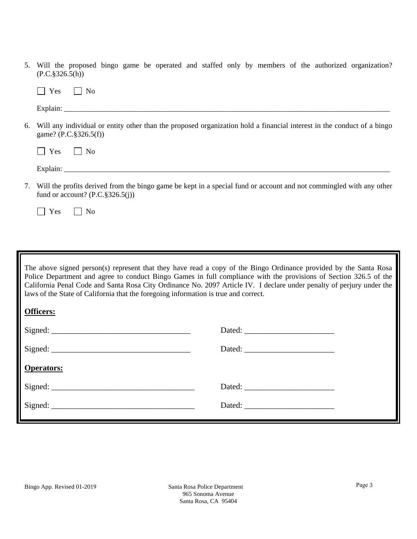| 5. | Will the proposed bingo game be operated and staffed only by members of the authorized organization?<br>$(P.C.\S326.5(h))$                                 |
|----|------------------------------------------------------------------------------------------------------------------------------------------------------------|
|    | Yes<br>No<br>$\mathbf{1}$                                                                                                                                  |
|    |                                                                                                                                                            |
| 6. | Will any individual or entity other than the proposed organization hold a financial interest in the conduct of a bingo<br>game? (P.C.§326.5(f))            |
|    | Yes<br>No<br>$\mathbf{1}$                                                                                                                                  |
|    |                                                                                                                                                            |
| 7. | Will the profits derived from the bingo game be kept in a special fund or account and not commingled with any other<br>fund or account? $(P.C.\S326.5(j))$ |
|    | Yes<br>N <sub>0</sub>                                                                                                                                      |
|    |                                                                                                                                                            |

The above signed person(s) represent that they have read a copy of the Bingo Ordinance provided by the Santa Rosa Police Department and agree to conduct Bingo Games in full compliance with the provisions of Section 326.5 of the California Penal Code and Santa Rosa City Ordinance No. 2097 Article IV. I declare under penalty of perjury under the laws of the State of California that the foregoing information is true and correct.

| <b>Officers:</b>  |  |
|-------------------|--|
|                   |  |
|                   |  |
| <b>Operators:</b> |  |
|                   |  |
| Signed:           |  |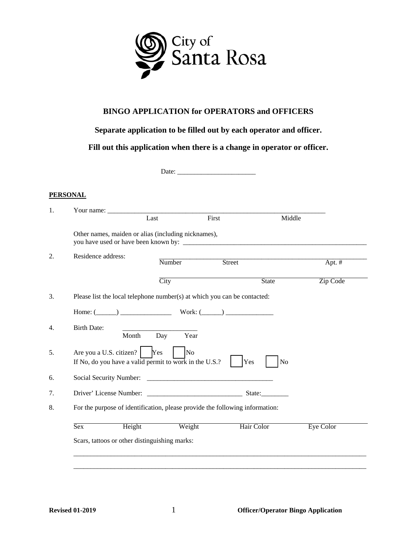

## **BINGO APPLICATION for OPERATORS and OFFICERS**

## **Separate application to be filled out by each operator and officer.**

**Fill out this application when there is a change in operator or officer.**

Date: \_\_\_\_\_\_\_\_\_\_\_\_\_\_\_\_\_\_\_\_\_\_\_

#### **PERSONAL**

| Last<br>First<br>Middle<br>Other names, maiden or alias (including nicknames),<br>Residence address:<br>Number<br>Street<br>City<br><b>State</b><br>Please list the local telephone number(s) at which you can be contacted:<br>Home: $(\_\_\_\_)$ Work: $(\_\_\_\_)$<br><b>Birth Date:</b><br>Month<br>Year<br>Day<br>Are you a U.S. citizen? $\begin{bmatrix} \text{Yes} \\ \text{Yes} \end{bmatrix}$<br>No<br>Yes<br>If No, do you have a valid permit to work in the U.S.?<br>N <sub>o</sub><br>For the purpose of identification, please provide the following information:<br>Sex<br>Height<br>Weight<br>Hair Color |                  |
|---------------------------------------------------------------------------------------------------------------------------------------------------------------------------------------------------------------------------------------------------------------------------------------------------------------------------------------------------------------------------------------------------------------------------------------------------------------------------------------------------------------------------------------------------------------------------------------------------------------------------|------------------|
|                                                                                                                                                                                                                                                                                                                                                                                                                                                                                                                                                                                                                           |                  |
|                                                                                                                                                                                                                                                                                                                                                                                                                                                                                                                                                                                                                           |                  |
|                                                                                                                                                                                                                                                                                                                                                                                                                                                                                                                                                                                                                           | Apt. $#$         |
|                                                                                                                                                                                                                                                                                                                                                                                                                                                                                                                                                                                                                           | Zip Code         |
|                                                                                                                                                                                                                                                                                                                                                                                                                                                                                                                                                                                                                           |                  |
|                                                                                                                                                                                                                                                                                                                                                                                                                                                                                                                                                                                                                           |                  |
|                                                                                                                                                                                                                                                                                                                                                                                                                                                                                                                                                                                                                           |                  |
|                                                                                                                                                                                                                                                                                                                                                                                                                                                                                                                                                                                                                           |                  |
|                                                                                                                                                                                                                                                                                                                                                                                                                                                                                                                                                                                                                           |                  |
|                                                                                                                                                                                                                                                                                                                                                                                                                                                                                                                                                                                                                           |                  |
|                                                                                                                                                                                                                                                                                                                                                                                                                                                                                                                                                                                                                           |                  |
|                                                                                                                                                                                                                                                                                                                                                                                                                                                                                                                                                                                                                           | <b>Eye Color</b> |
| Scars, tattoos or other distinguishing marks:                                                                                                                                                                                                                                                                                                                                                                                                                                                                                                                                                                             |                  |
|                                                                                                                                                                                                                                                                                                                                                                                                                                                                                                                                                                                                                           |                  |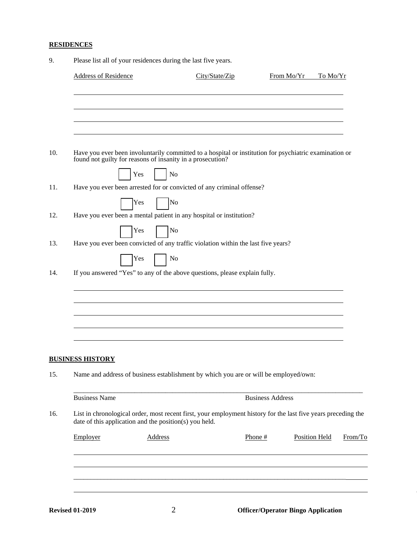## **RESIDENCES**

| <b>Address of Residence</b> |                                                        | City/State/Zip                                                                                                                                                    |                         | From Mo/Yr | To Mo/Yr             |         |
|-----------------------------|--------------------------------------------------------|-------------------------------------------------------------------------------------------------------------------------------------------------------------------|-------------------------|------------|----------------------|---------|
|                             |                                                        |                                                                                                                                                                   |                         |            |                      |         |
|                             |                                                        |                                                                                                                                                                   |                         |            |                      |         |
|                             |                                                        |                                                                                                                                                                   |                         |            |                      |         |
|                             |                                                        | Have you ever been involuntarily committed to a hospital or institution for psychiatric examination or found not guilty for reasons of insanity in a prosecution? |                         |            |                      |         |
|                             | Yes                                                    | N <sub>o</sub>                                                                                                                                                    |                         |            |                      |         |
|                             |                                                        | Have you ever been arrested for or convicted of any criminal offense?                                                                                             |                         |            |                      |         |
|                             | Yes                                                    | No                                                                                                                                                                |                         |            |                      |         |
|                             |                                                        | Have you ever been a mental patient in any hospital or institution?                                                                                               |                         |            |                      |         |
|                             | Yes                                                    | No                                                                                                                                                                |                         |            |                      |         |
|                             |                                                        | Have you ever been convicted of any traffic violation within the last five years?                                                                                 |                         |            |                      |         |
|                             | Yes                                                    | No                                                                                                                                                                |                         |            |                      |         |
|                             |                                                        | If you answered "Yes" to any of the above questions, please explain fully.                                                                                        |                         |            |                      |         |
|                             |                                                        |                                                                                                                                                                   |                         |            |                      |         |
|                             |                                                        |                                                                                                                                                                   |                         |            |                      |         |
|                             |                                                        |                                                                                                                                                                   |                         |            |                      |         |
|                             |                                                        |                                                                                                                                                                   |                         |            |                      |         |
|                             |                                                        |                                                                                                                                                                   |                         |            |                      |         |
| <b>BUSINESS HISTORY</b>     |                                                        |                                                                                                                                                                   |                         |            |                      |         |
|                             |                                                        | Name and address of business establishment by which you are or will be employed/own:                                                                              |                         |            |                      |         |
| <b>Business Name</b>        |                                                        |                                                                                                                                                                   | <b>Business Address</b> |            |                      |         |
|                             | date of this application and the position(s) you held. | List in chronological order, most recent first, your employment history for the last five years preceding the                                                     |                         |            |                      |         |
| Employer                    | <b>Address</b>                                         |                                                                                                                                                                   | Phone #                 |            | <b>Position Held</b> | From/To |
|                             |                                                        |                                                                                                                                                                   |                         |            |                      |         |
|                             |                                                        |                                                                                                                                                                   |                         |            |                      |         |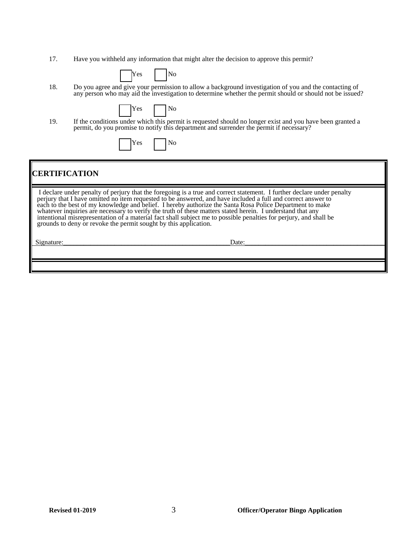17. Have you withheld any information that might alter the decision to approve this permit?

| -<br>. es | חו |
|-----------|----|
|-----------|----|

18. Do you agree and give your permission to allow a background investigation of you and the contacting of any person who may aid the investigation to determine whether the permit should or should not be issued?

| rρς | No. |
|-----|-----|
|     |     |

19. If the conditions under which this permit is requested should no longer exist and you have been granted a permit, do you promise to notify this department and surrender the permit if necessary?

## **CERTIFICATION**

 I declare under penalty of perjury that the foregoing is a true and correct statement. I further declare under penalty perjury that I have omitted no item requested to be answered, and have included a full and correct answer to each to the best of my knowledge and belief. I hereby authorize the Santa Rosa Police Department to make whatever inquiries are necessary to verify the truth of these matters stated herein. I understand that any intentional misrepresentation of a material fact shall subject me to possible penalties for perjury, and shall be grounds to deny or revoke the permit sought by this application.

| $\sim$<br>519″ | nature | Date:<br>Duv. |
|----------------|--------|---------------|
|                |        |               |